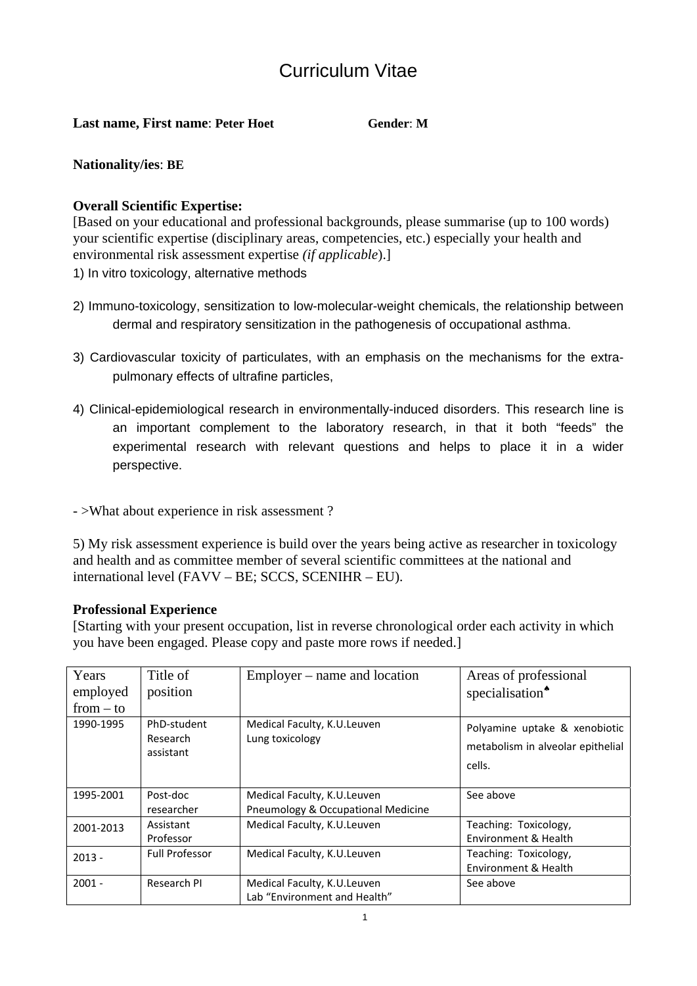# Curriculum Vitae

#### **Last name. First name: Peter Hoet Gender:** M

## **Nationality/ies**: **BE**

## **Overall Scientific Expertise:**

[Based on your educational and professional backgrounds, please summarise (up to 100 words) your scientific expertise (disciplinary areas, competencies, etc.) especially your health and environmental risk assessment expertise *(if applicable*).]

1) In vitro toxicology, alternative methods

- 2) Immuno-toxicology, sensitization to low-molecular-weight chemicals, the relationship between dermal and respiratory sensitization in the pathogenesis of occupational asthma.
- 3) Cardiovascular toxicity of particulates, with an emphasis on the mechanisms for the extrapulmonary effects of ultrafine particles,
- 4) Clinical-epidemiological research in environmentally-induced disorders. This research line is an important complement to the laboratory research, in that it both "feeds" the experimental research with relevant questions and helps to place it in a wider perspective.
- >What about experience in risk assessment ?

5) My risk assessment experience is build over the years being active as researcher in toxicology and health and as committee member of several scientific committees at the national and international level (FAVV – BE; SCCS, SCENIHR – EU).

### **Professional Experience**

[Starting with your present occupation, list in reverse chronological order each activity in which you have been engaged. Please copy and paste more rows if needed.]

| Years<br>employed<br>$from - to$ | Title of<br>position                 | Employer – name and location                                      | Areas of professional<br>specialisation <sup>*</sup>                         |
|----------------------------------|--------------------------------------|-------------------------------------------------------------------|------------------------------------------------------------------------------|
| 1990-1995                        | PhD-student<br>Research<br>assistant | Medical Faculty, K.U.Leuven<br>Lung toxicology                    | Polyamine uptake & xenobiotic<br>metabolism in alveolar epithelial<br>cells. |
| 1995-2001                        | Post-doc<br>researcher               | Medical Faculty, K.U.Leuven<br>Pneumology & Occupational Medicine | See above                                                                    |
| 2001-2013                        | Assistant<br>Professor               | Medical Faculty, K.U.Leuven                                       | Teaching: Toxicology,<br>Environment & Health                                |
| $2013 -$                         | <b>Full Professor</b>                | Medical Faculty, K.U.Leuven                                       | Teaching: Toxicology,<br>Environment & Health                                |
| $2001 -$                         | Research PI                          | Medical Faculty, K.U.Leuven<br>Lab "Environment and Health"       | See above                                                                    |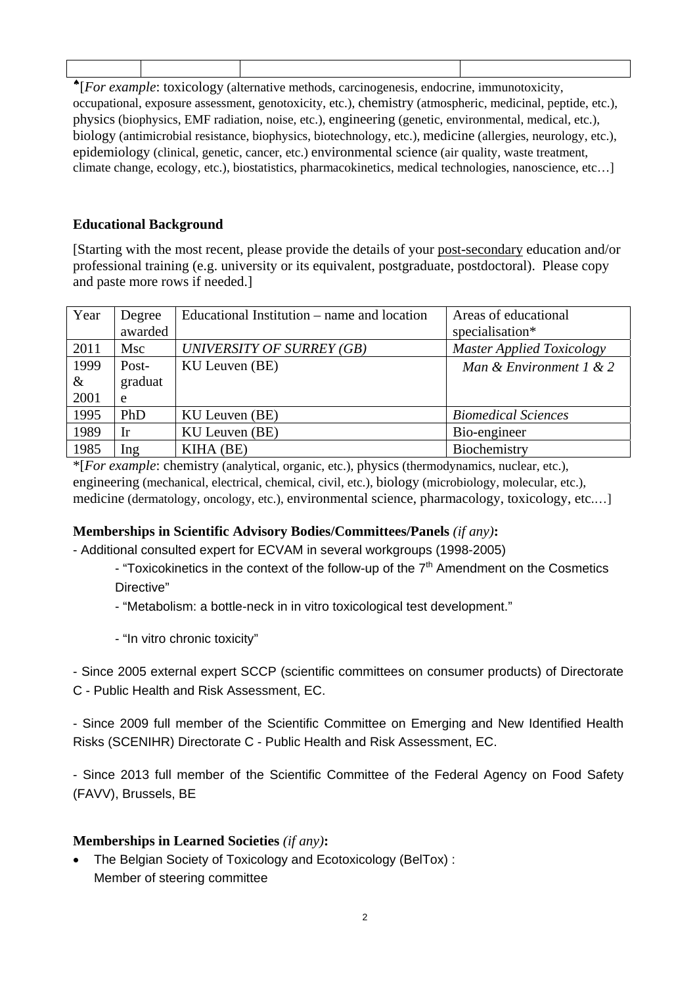♠[*For example*: toxicology (alternative methods, carcinogenesis, endocrine, immunotoxicity, occupational, exposure assessment, genotoxicity, etc.), chemistry (atmospheric, medicinal, peptide, etc.), physics (biophysics, EMF radiation, noise, etc.), engineering (genetic, environmental, medical, etc.), biology (antimicrobial resistance, biophysics, biotechnology, etc.), medicine (allergies, neurology, etc.), epidemiology (clinical, genetic, cancer, etc.) environmental science (air quality, waste treatment, climate change, ecology, etc.), biostatistics, pharmacokinetics, medical technologies, nanoscience, etc…]

# **Educational Background**

[Starting with the most recent, please provide the details of your post-secondary education and/or professional training (e.g. university or its equivalent, postgraduate, postdoctoral). Please copy and paste more rows if needed.]

| Year | Degree    | Educational Institution – name and location | Areas of educational             |
|------|-----------|---------------------------------------------|----------------------------------|
|      | awarded   |                                             | specialisation*                  |
| 2011 | Msc       | UNIVERSITY OF SURREY (GB)                   | <b>Master Applied Toxicology</b> |
| 1999 | Post-     | KU Leuven (BE)                              | Man & Environment 1 & 2          |
| $\&$ | graduat   |                                             |                                  |
| 2001 | e         |                                             |                                  |
| 1995 | PhD       | KU Leuven (BE)                              | <b>Biomedical Sciences</b>       |
| 1989 | <b>Ir</b> | KU Leuven (BE)                              | Bio-engineer                     |
| 1985 | Ing       | KIHA (BE)                                   | Biochemistry                     |

\*[*For example*: chemistry (analytical, organic, etc.), physics (thermodynamics, nuclear, etc.), engineering (mechanical, electrical, chemical, civil, etc.), biology (microbiology, molecular, etc.), medicine (dermatology, oncology, etc.), environmental science, pharmacology, toxicology, etc.…]

# **Memberships in Scientific Advisory Bodies/Committees/Panels** *(if any)***:**

- Additional consulted expert for ECVAM in several workgroups (1998-2005)

- "Toxicokinetics in the context of the follow-up of the  $7<sup>th</sup>$  Amendment on the Cosmetics Directive"

- "Metabolism: a bottle-neck in in vitro toxicological test development."

- "In vitro chronic toxicity"

- Since 2005 external expert SCCP (scientific committees on consumer products) of Directorate C - Public Health and Risk Assessment, EC.

- Since 2009 full member of the Scientific Committee on Emerging and New Identified Health Risks (SCENIHR) Directorate C - Public Health and Risk Assessment, EC.

- Since 2013 full member of the Scientific Committee of the Federal Agency on Food Safety (FAVV), Brussels, BE

# **Memberships in Learned Societies** *(if any)***:**

• The Belgian Society of Toxicology and Ecotoxicology (BelTox) : Member of steering committee